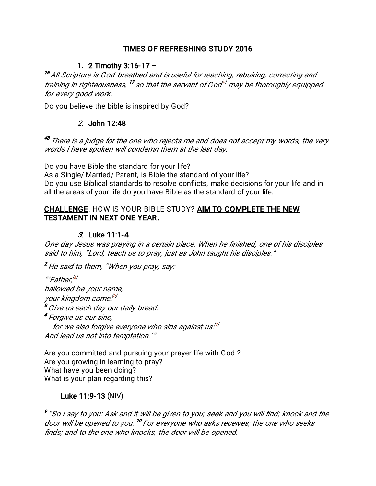### TIMES OF REFRESHING STUDY 2016

## 1. 2 Timothy  $3:16-17-$

<sup>16</sup> All Scripture is God-breathed and is useful for teaching, rebuking, correcting and training in righteousness,  $^{17}$  so that the servant of God $^{47}$  may be thoroughly equipped for every good work.

Do you believe the bible is inspired by God?

#### 2. John 12:48

<sup>48</sup> There is a judge for the one who rejects me and does not accept my words; the very words I have spoken will condemn them at the last day.

Do you have Bible the standard for your life? As a Single/ Married/ Parent, is Bible the standard of your life? Do you use Biblical standards to resolve conflicts, make decisions for your life and in all the areas of your life do you have Bible as the standard of your life.

#### CHALLENGE: HOW IS YOUR BIBLE STUDY? AIM TO COMPLETE THE NEW TESTAMENT IN NEXT ONE YEAR.

#### 3. Luke 11:1-4

One day Jesus was praying in a certain place. When he finished, one of his disciples said to him, "Lord, teach us to pray, just as John taught his disciples."

<sup>2</sup> He said to them, "When you pray, say:

"'Father.<sup>[a]</sup> hallowed be your name, your kingdom come.<sup>[b]</sup> <sup>3</sup> Give us each day our daily bread. <sup>4</sup> Forgive us our sins, for we also forgive everyone who sins against us.<sup>[c]</sup> And lead us not into temptation.'"

Are you committed and pursuing your prayer life with God? Are you growing in learning to pray? What have you been doing? What is your plan regarding this?

#### Luke 11:9-13 (NIV)

<sup>9</sup> "So I say to you: Ask and it will be given to you; seek and you will find; knock and the door will be opened to you.<sup>10</sup> For everyone who asks receives; the one who seeks finds; and to the one who knocks, the door will be opened.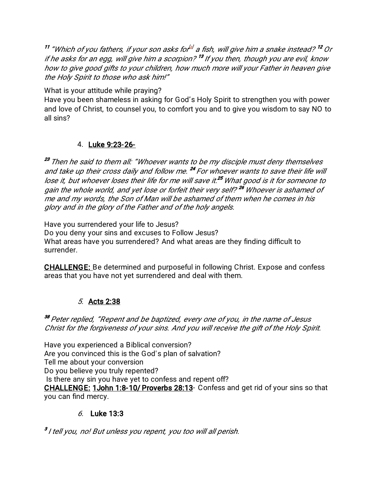<sup>11</sup> "Which of you fathers, if your son asks for  $\ell$  a fish, will give him a snake instead?  $^{12}$  Or if he asks for an egg, will give him a scorpion?  $13$  If you then, though you are evil, know how to give good gifts to your children, how much more will your Father in heaven give the Holy Spirit to those who ask him!"

What is your attitude while praying?

Have you been shameless in asking for God's Holy Spirit to strengthen you with power and love of Christ, to counsel you, to comfort you and to give you wisdom to say NO to all sins?

## 4.Luke9:23-26-

<sup>23</sup> Then he said to them all: "Whoever wants to be my disciple must deny themselves and take up their cross daily and follow me. <sup>24</sup> For whoever wants to save their life will lose it, but whoever loses their life for me will save it.<sup>25</sup> What good is it for someone to gain the whole world, and yet lose or forfeit their very self?<sup>26</sup> Whoever is ashamed of me and my words, the Son of Man will be ashamed of them when he comes in his glory and in the glory of the Father and of the holy angels.

Have you surrendered your life to Jesus?

Do you deny your sins and excuses to Follow Jesus? What areas have you surrendered? And what areas are they finding difficult to surrender.

CHALLENGE: Be determined and purposeful in following Christ. Expose and confess areas that you have not yet surrendered and deal with them.

# 5.Acts2:38

<sup>38</sup> Peter replied, "Repent and be baptized, every one of you, in the name of Jesus Christ for the forgiveness of your sins. And you will receive the gift of the Holy Spirit.

Have you experienced a Biblical conversion? Are you convinced this is the God's plan of salvation? Tell me about your conversion Do you believe you truly repented? Is there any sin you have yet to confess and repent off? CHALLENGE: 1John 1:8-10/ Proverbs 28:13- Confess and get rid of your sins so that you can find mercy.

# 6. Luke13:3

<sup>3</sup> I tell you, no! But unless you repent, you too will all perish.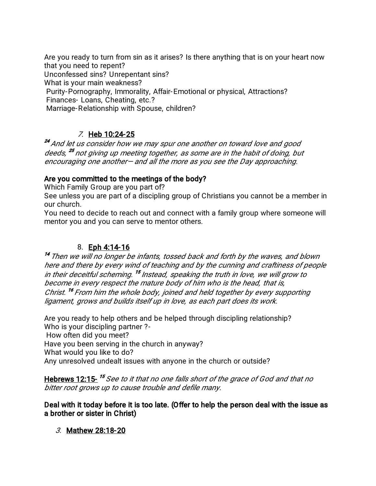Are you ready to turn from sin as it arises? Is there anything that is on your heart now that you need to repent? Unconfessed sins? Unrepentant sins? What is your main weakness? Purity-Pornography, Immorality, Affair-Emotional or physical, Attractions? Finances-Loans, Cheating, etc.? Marriage-Relationship with Spouse, children?

# $Z$  Heb 10:24-25

<sup>24</sup> And let us consider how we may spur one another on toward love and good deeds, <sup>25</sup> not giving up meeting together, as some are in the habit of doing, but encouraging one another—and all the more as you see the Day approaching.

## Are you committed to the meetings of the body?

Which Family Group are you part of?

See unless you are part of a discipling group of Christians you cannot be a member in our church.

You need to decide to reach out and connect with a family group where someone will mentor you and you can serve to mentor others.

## 8.Eph4:14-16

 $14$  Then we will no longer be infants, tossed back and forth by the waves, and blown here and there by every wind of teaching and by the cunning and craftiness of people in their deceitful scheming. <sup>15</sup> Instead, speaking the truth in love, we will grow to become in every respect the mature body of him who is the head, that is, Christ. <sup>16</sup> From him the whole body, joined and held together by every supporting ligament, grows and builds itself up in love, as each part does its work.

Are you ready to help others and be helped through discipling relationship? Who is your discipling partner?-

How often did you meet?

Have you been serving in the church in anyway?

What would you like to do?

Any unresolved undealt issues with anyone in the church or outside?

Hebrews 12:15-<sup>15</sup> See to it that no one falls short of the grace of God and that no bitter root grows up to cause trouble and defile many.

#### Deal with it today before it is too late. (Offer to help the person deal with the issue as a brother or sister in Christ)

3. Mathew 28:18-20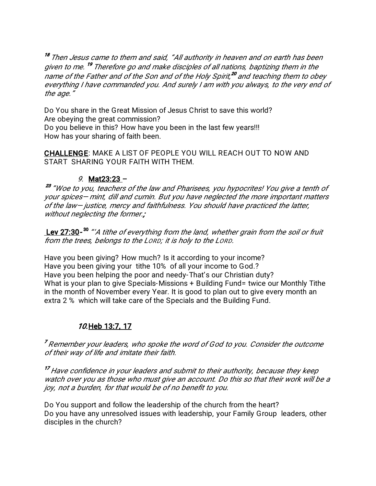<sup>18</sup> Then Jesus came to them and said, "All authority in heaven and on earth has been given to me. <sup>19</sup> Therefore go and make disciples of all nations, baptizing them in the name of the Father and of the Son and of the Holy Spirit,<sup>20</sup> and teaching them to obey everything I have commanded you. And surely I am with you always, to the very end of the age."

Do You share in the Great Mission of Jesus Christ to save this world? Are obeying the great commission? Do you believe in this? How have you been in the last few years!!! How has your sharing of faith been.

**CHALLENGE: MAKE A LIST OF PEOPLE YOU WILL REACH OUT TO NOW AND** START SHARING YOUR FAITH WITH THEM.

#### 9. Mat23:23 -

<sup>23</sup> "Woe to you, teachers of the law and Pharisees, you hypocrites! You give a tenth of your spices- mint, dill and cumin. But you have neglected the more important matters of the law-justice, mercy and faithfulness. You should have practiced the latter. without neglecting the former.;

Lev 27:30-<sup>30</sup> "'A tithe of everything from the land, whether grain from the soil or fruit from the trees, belongs to the Lorp; it is holy to the Lorp.

Have you been giving? How much? Is it according to your income? Have you been giving your tithe 10% of all your income to God.? Have you been helping the poor and needy-That's our Christian duty? What is your plan to give Specials-Missions + Building Fund= twice our Monthly Tithe in the month of November every Year. It is good to plan out to give every month an extra 2 % which will take care of the Specials and the Building Fund.

# 10. Heb 13:7, 17

<sup>7</sup> Remember your leaders, who spoke the word of God to you. Consider the outcome of their way of life and imitate their faith.

<sup>17</sup> Have confidence in your leaders and submit to their authority, because they keep watch over you as those who must give an account. Do this so that their work will be a joy, not a burden, for that would be of no benefit to you.

Do You support and follow the leadership of the church from the heart? Do you have any unresolved issues with leadership, your Family Group leaders, other disciples in the church?